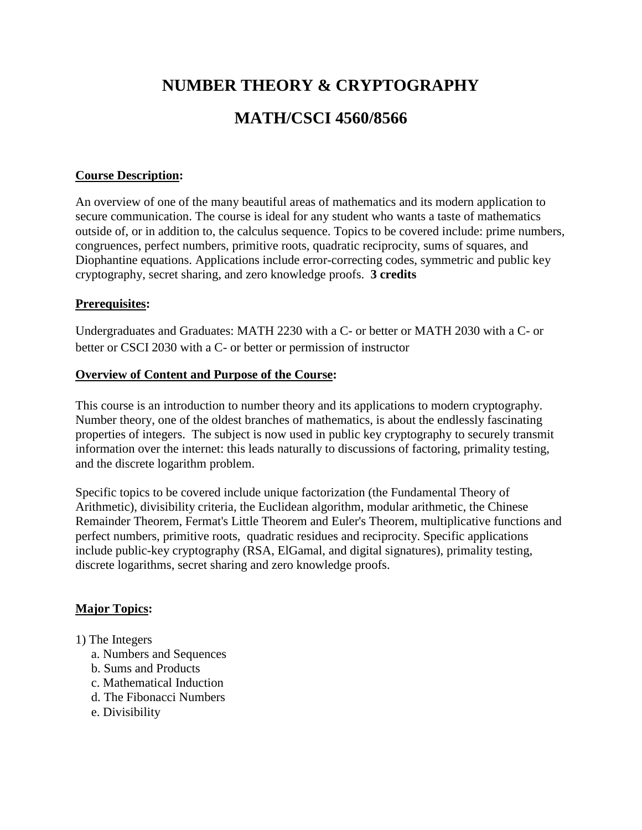# **NUMBER THEORY & CRYPTOGRAPHY MATH/CSCI 4560/8566**

#### **Course Description:**

An overview of one of the many beautiful areas of mathematics and its modern application to secure communication. The course is ideal for any student who wants a taste of mathematics outside of, or in addition to, the calculus sequence. Topics to be covered include: prime numbers, congruences, perfect numbers, primitive roots, quadratic reciprocity, sums of squares, and Diophantine equations. Applications include error-correcting codes, symmetric and public key cryptography, secret sharing, and zero knowledge proofs. **3 credits**

#### **Prerequisites:**

Undergraduates and Graduates: MATH 2230 with a C- or better or MATH 2030 with a C- or better or CSCI 2030 with a C- or better or permission of instructor

#### **Overview of Content and Purpose of the Course:**

This course is an introduction to number theory and its applications to modern cryptography. Number theory, one of the oldest branches of mathematics, is about the endlessly fascinating properties of integers. The subject is now used in public key cryptography to securely transmit information over the internet: this leads naturally to discussions of factoring, primality testing, and the discrete logarithm problem.

Specific topics to be covered include unique factorization (the Fundamental Theory of Arithmetic), divisibility criteria, the Euclidean algorithm, modular arithmetic, the Chinese Remainder Theorem, Fermat's Little Theorem and Euler's Theorem, multiplicative functions and perfect numbers, primitive roots, quadratic residues and reciprocity. Specific applications include public-key cryptography (RSA, ElGamal, and digital signatures), primality testing, discrete logarithms, secret sharing and zero knowledge proofs.

#### **Major Topics:**

#### 1) The Integers

- a. Numbers and Sequences
- b. Sums and Products
- c. Mathematical Induction
- d. The Fibonacci Numbers
- e. Divisibility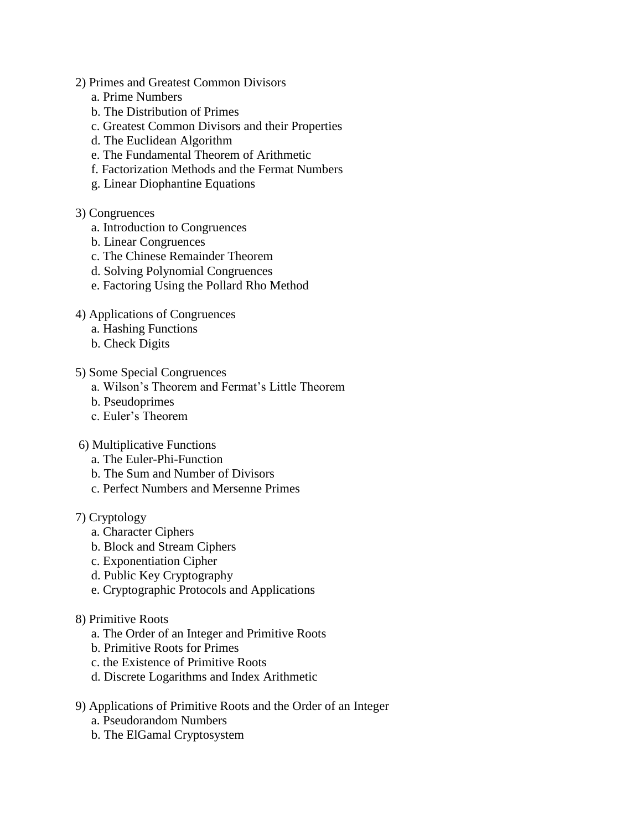#### 2) Primes and Greatest Common Divisors

- a. Prime Numbers
- b. The Distribution of Primes
- c. Greatest Common Divisors and their Properties
- d. The Euclidean Algorithm
- e. The Fundamental Theorem of Arithmetic
- f. Factorization Methods and the Fermat Numbers
- g. Linear Diophantine Equations

#### 3) Congruences

- a. Introduction to Congruences
- b. Linear Congruences
- c. The Chinese Remainder Theorem
- d. Solving Polynomial Congruences
- e. Factoring Using the Pollard Rho Method
- 4) Applications of Congruences
	- a. Hashing Functions
	- b. Check Digits
- 5) Some Special Congruences
	- a. Wilson's Theorem and Fermat's Little Theorem
	- b. Pseudoprimes
	- c. Euler's Theorem
- 6) Multiplicative Functions
	- a. The Euler-Phi-Function
	- b. The Sum and Number of Divisors
	- c. Perfect Numbers and Mersenne Primes

### 7) Cryptology

- a. Character Ciphers
- b. Block and Stream Ciphers
- c. Exponentiation Cipher
- d. Public Key Cryptography
- e. Cryptographic Protocols and Applications

#### 8) Primitive Roots

- a. The Order of an Integer and Primitive Roots
- b. Primitive Roots for Primes
- c. the Existence of Primitive Roots
- d. Discrete Logarithms and Index Arithmetic
- 9) Applications of Primitive Roots and the Order of an Integer
	- a. Pseudorandom Numbers
	- b. The ElGamal Cryptosystem